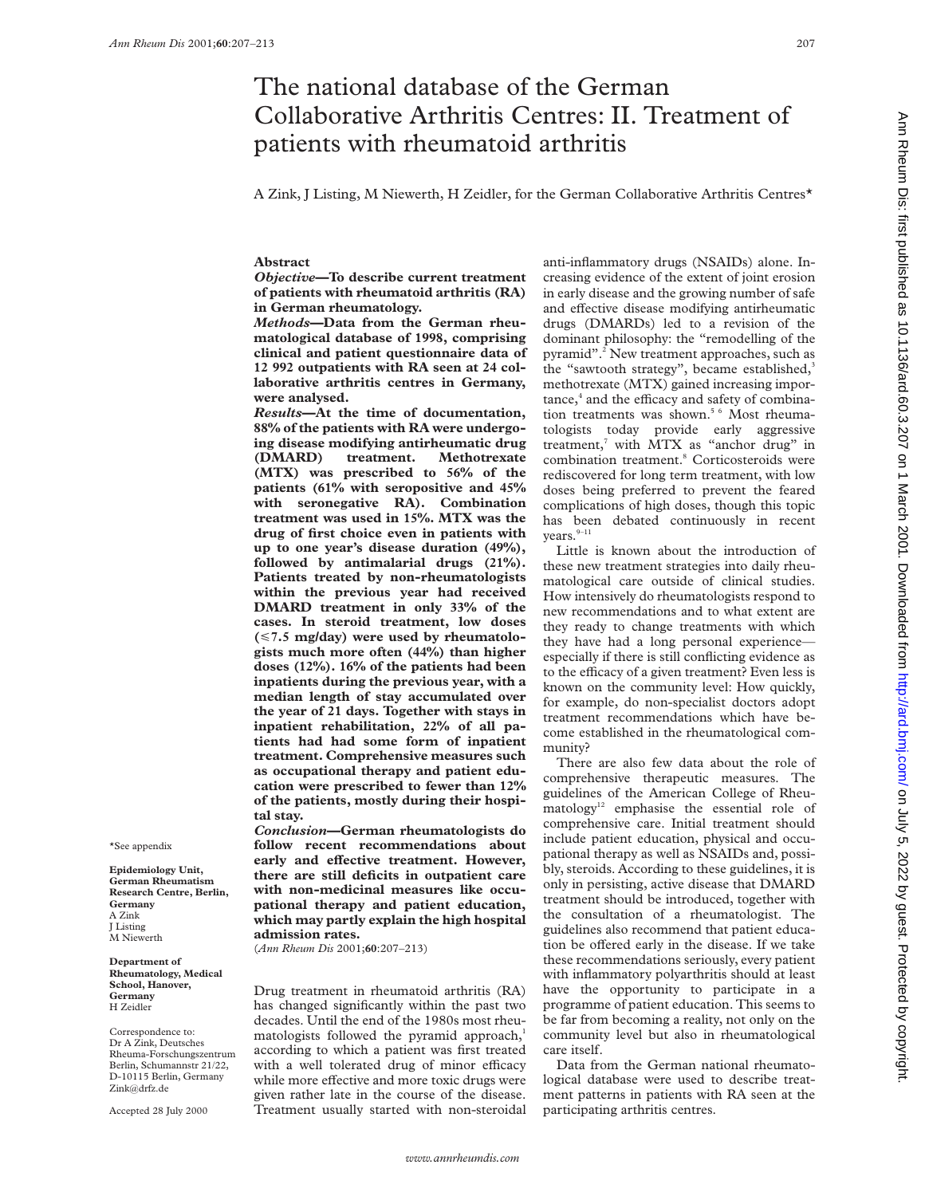# The national database of the German Collaborative Arthritis Centres: II. Treatment of patients with rheumatoid arthritis

A Zink, J Listing, M Niewerth, H Zeidler, for the German Collaborative Arthritis Centres\*

# **Abstract**

*Objective***—To describe current treatment of patients with rheumatoid arthritis (RA) in German rheumatology.**

*Methods***—Data from the German rheumatological database of 1998, comprising clinical and patient questionnaire data of 12 992 outpatients with RA seen at 24 collaborative arthritis centres in Germany, were analysed.**

*Results***—At the time of documentation, 88% of the patients with RA were undergoing disease modifying antirheumatic drug (DMARD) treatment. Methotrexate (MTX) was prescribed to 56% of the patients (61% with seropositive and 45% with seronegative RA). Combination treatment was used in 15%. MTX was the drug of first choice even in patients with up to one year's disease duration (49%), followed by antimalarial drugs (21%). Patients treated by non-rheumatologists within the previous year had received DMARD treatment in only 33% of the cases. In steroid treatment, low doses (**<**7.5 mg/day) were used by rheumatologists much more often (44%) than higher doses (12%). 16% of the patients had been inpatients during the previous year, with a median length of stay accumulated over the year of 21 days. Together with stays in inpatient rehabilitation, 22% of all patients had had some form of inpatient treatment. Comprehensive measures such as occupational therapy and patient education were prescribed to fewer than 12% of the patients, mostly during their hospital stay.**

*Conclusion***—German rheumatologists do follow recent recommendations about** early and effective treatment. However, **there are still deficits in outpatient care with non-medicinal measures like occupational therapy and patient education, which may partly explain the high hospital admission rates.**

(*Ann Rheum Dis* 2001;**60**:207–213)

Drug treatment in rheumatoid arthritis (RA) has changed significantly within the past two decades. Until the end of the 1980s most rheumatologists followed the pyramid approach,<sup>1</sup> according to which a patient was first treated with a well tolerated drug of minor efficacy while more effective and more toxic drugs were given rather late in the course of the disease. Treatment usually started with non-steroidal

anti-inflammatory drugs (NSAIDs) alone. Increasing evidence of the extent of joint erosion in early disease and the growing number of safe and effective disease modifying antirheumatic drugs (DMARDs) led to a revision of the dominant philosophy: the "remodelling of the pyramid".2 New treatment approaches, such as the "sawtooth strategy", became established, $3$ methotrexate (MTX) gained increasing impor $tance<sub>1</sub><sup>4</sup>$  and the efficacy and safety of combination treatments was shown.<sup>5 6</sup> Most rheumatologists today provide early aggressive treatment,<sup>7</sup> with MTX as "anchor drug" in combination treatment.<sup>8</sup> Corticosteroids were rediscovered for long term treatment, with low doses being preferred to prevent the feared complications of high doses, though this topic has been debated continuously in recent years.<sup>9-11</sup>

Little is known about the introduction of these new treatment strategies into daily rheumatological care outside of clinical studies. How intensively do rheumatologists respond to new recommendations and to what extent are they ready to change treatments with which they have had a long personal experience especially if there is still conflicting evidence as to the efficacy of a given treatment? Even less is known on the community level: How quickly, for example, do non-specialist doctors adopt treatment recommendations which have become established in the rheumatological community?

There are also few data about the role of comprehensive therapeutic measures. The guidelines of the American College of Rheu $m$ atology<sup>12</sup> emphasise the essential role of comprehensive care. Initial treatment should include patient education, physical and occupational therapy as well as NSAIDs and, possibly, steroids. According to these guidelines, it is only in persisting, active disease that DMARD treatment should be introduced, together with the consultation of a rheumatologist. The guidelines also recommend that patient education be offered early in the disease. If we take these recommendations seriously, every patient with inflammatory polyarthritis should at least have the opportunity to participate in a programme of patient education. This seems to be far from becoming a reality, not only on the community level but also in rheumatological care itself.

Data from the German national rheumatological database were used to describe treatment patterns in patients with RA seen at the participating arthritis centres.

Ann Rheum Dis: first published as 10.1136/ard.60.3.207 on 1 March 2001. Downloaded from http://ard.bmj.com/ on July 5, 2022 by guest. Protected by copyright htm Bight. Protected by guest. Protected by copyright. Protected as 10.01 . Downloaded to the form their published in and Ann Rheum Disclusion on Ann Rheum Disclusion in the strated by genesic as 10.1136/ard by copyright.

\*See appendix

**Epidemiology Unit, German Rheumatism Research Centre, Berlin, Germany** A Zink J Listing M Niewerth

**Department of Rheumatology, Medical School, Hanover, Germany** H Zeidler

Correspondence to: Dr A Zink, Deutsches Rheuma-Forschungszentrum Berlin, Schumannstr 21/22, D-10115 Berlin, Germany Zink@drfz.de

Accepted 28 July 2000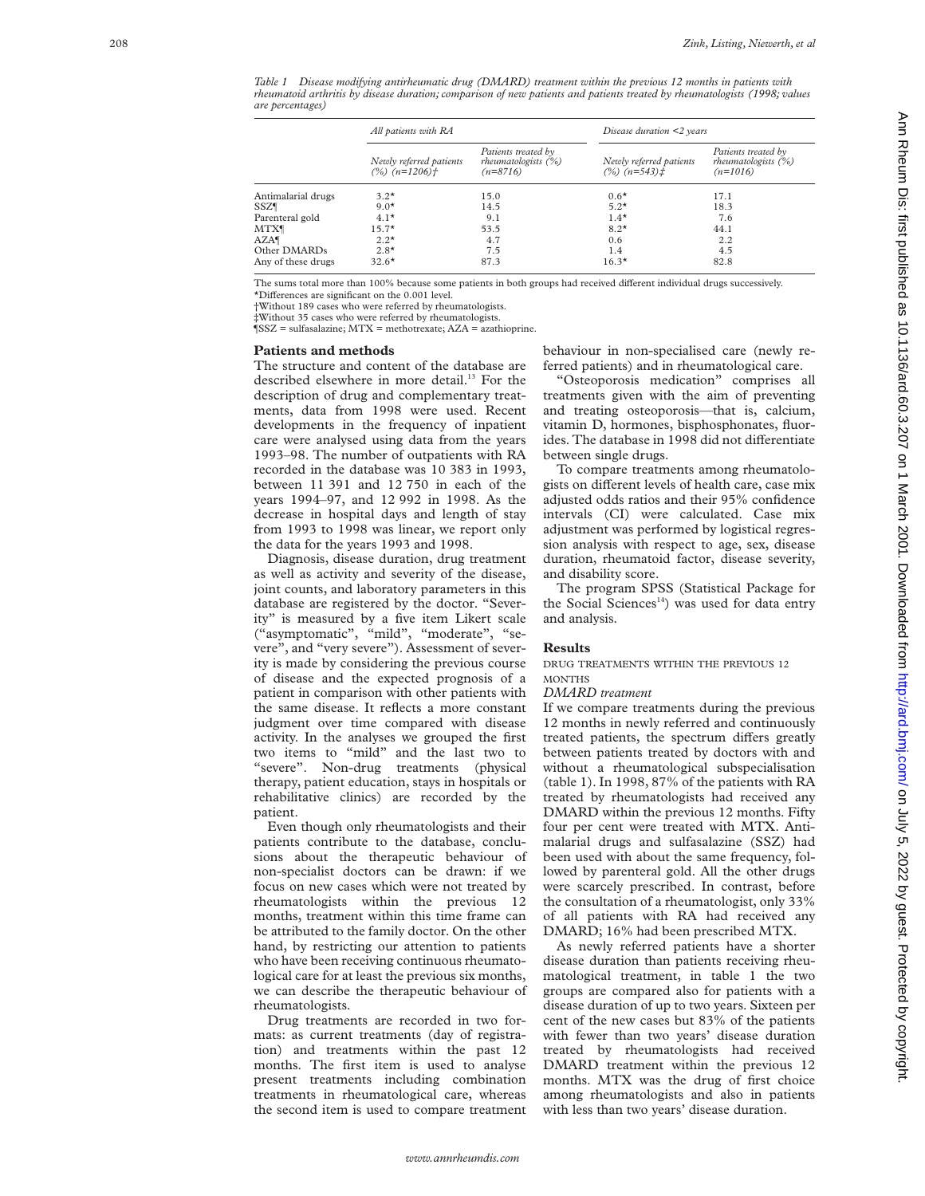|                         | All patients with RA                        |                                                             | Disease duration $\leq$ years                |                                                             |
|-------------------------|---------------------------------------------|-------------------------------------------------------------|----------------------------------------------|-------------------------------------------------------------|
|                         | Newly referred patients<br>$(%) (n=1206)$ † | Patients treated by<br>rheumatologists $(% )$<br>$(n=8716)$ | Newly referred patients<br>$(%) (n=543) \pm$ | Patients treated by<br>rheumatologists $(\%)$<br>$(n=1016)$ |
| Antimalarial drugs      | $3.2*$                                      | 15.0                                                        | $0.6*$                                       | 17.1                                                        |
| <b>SSZ</b> <sup>¶</sup> | $9.0*$                                      | 14.5                                                        | $5.2*$                                       | 18.3                                                        |
| Parenteral gold         | $4.1*$                                      | 9.1                                                         | $1.4*$                                       | 7.6                                                         |
| <b>MTX</b>              | $15.7*$                                     | 53.5                                                        | $8.2*$                                       | 44.1                                                        |
| $AZA\P$                 | $2.2*$                                      | 4.7                                                         | 0.6                                          | 2.2                                                         |
| Other DMARDs            | $2.8*$                                      | 7.5                                                         | 1.4                                          | 4.5                                                         |
| Any of these drugs      | $32.6*$                                     | 87.3                                                        | $16.3*$                                      | 82.8                                                        |

*Table 1 Disease modifying antirheumatic drug (DMARD) treatment within the previous 12 months in patients with rheumatoid arthritis by disease duration; comparison of new patients and patients treated by rheumatologists (1998; values are percentages)*

The sums total more than 100% because some patients in both groups had received different individual drugs successively. \*Di Verences are significant on the 0.001 level.

†Without 189 cases who were referred by rheumatologists.

‡Without 35 cases who were referred by rheumatologists.

 $\sqrt{\text{SSZ}}$  = sulfasalazine; MTX = methotrexate; AZA = azathioprine.

#### **Patients and methods**

The structure and content of the database are described elsewhere in more detail.<sup>13</sup> For the description of drug and complementary treatments, data from 1998 were used. Recent developments in the frequency of inpatient care were analysed using data from the years 1993–98. The number of outpatients with RA recorded in the database was 10 383 in 1993, between 11 391 and 12 750 in each of the years 1994–97, and 12 992 in 1998. As the decrease in hospital days and length of stay from 1993 to 1998 was linear, we report only the data for the years 1993 and 1998.

Diagnosis, disease duration, drug treatment as well as activity and severity of the disease, joint counts, and laboratory parameters in this database are registered by the doctor. "Severity" is measured by a five item Likert scale ("asymptomatic", "mild", "moderate", "severe", and "very severe"). Assessment of severity is made by considering the previous course of disease and the expected prognosis of a patient in comparison with other patients with the same disease. It reflects a more constant judgment over time compared with disease activity. In the analyses we grouped the first two items to "mild" and the last two to "severe". Non-drug treatments (physical therapy, patient education, stays in hospitals or rehabilitative clinics) are recorded by the patient.

Even though only rheumatologists and their patients contribute to the database, conclusions about the therapeutic behaviour of non-specialist doctors can be drawn: if we focus on new cases which were not treated by rheumatologists within the previous 12 months, treatment within this time frame can be attributed to the family doctor. On the other hand, by restricting our attention to patients who have been receiving continuous rheumatological care for at least the previous six months, we can describe the therapeutic behaviour of rheumatologists.

Drug treatments are recorded in two formats: as current treatments (day of registration) and treatments within the past 12 months. The first item is used to analyse present treatments including combination treatments in rheumatological care, whereas the second item is used to compare treatment behaviour in non-specialised care (newly referred patients) and in rheumatological care.

"Osteoporosis medication" comprises all treatments given with the aim of preventing and treating osteoporosis—that is, calcium, vitamin D, hormones, bisphosphonates, fluorides. The database in 1998 did not differentiate between single drugs.

To compare treatments among rheumatologists on different levels of health care, case mix adjusted odds ratios and their 95% confidence intervals (CI) were calculated. Case mix adjustment was performed by logistical regression analysis with respect to age, sex, disease duration, rheumatoid factor, disease severity, and disability score.

The program SPSS (Statistical Package for the Social Sciences<sup>14</sup>) was used for data entry and analysis.

# **Results**

DRUG TREATMENTS WITHIN THE PREVIOUS 12 MONTHS

## *DMARD treatment*

If we compare treatments during the previous 12 months in newly referred and continuously treated patients, the spectrum differs greatly between patients treated by doctors with and without a rheumatological subspecialisation (table 1). In 1998, 87% of the patients with RA treated by rheumatologists had received any DMARD within the previous 12 months. Fifty four per cent were treated with MTX. Antimalarial drugs and sulfasalazine (SSZ) had been used with about the same frequency, followed by parenteral gold. All the other drugs were scarcely prescribed. In contrast, before the consultation of a rheumatologist, only 33% of all patients with RA had received any DMARD; 16% had been prescribed MTX.

As newly referred patients have a shorter disease duration than patients receiving rheumatological treatment, in table 1 the two groups are compared also for patients with a disease duration of up to two years. Sixteen per cent of the new cases but 83% of the patients with fewer than two years' disease duration treated by rheumatologists had received DMARD treatment within the previous 12 months. MTX was the drug of first choice among rheumatologists and also in patients with less than two years' disease duration.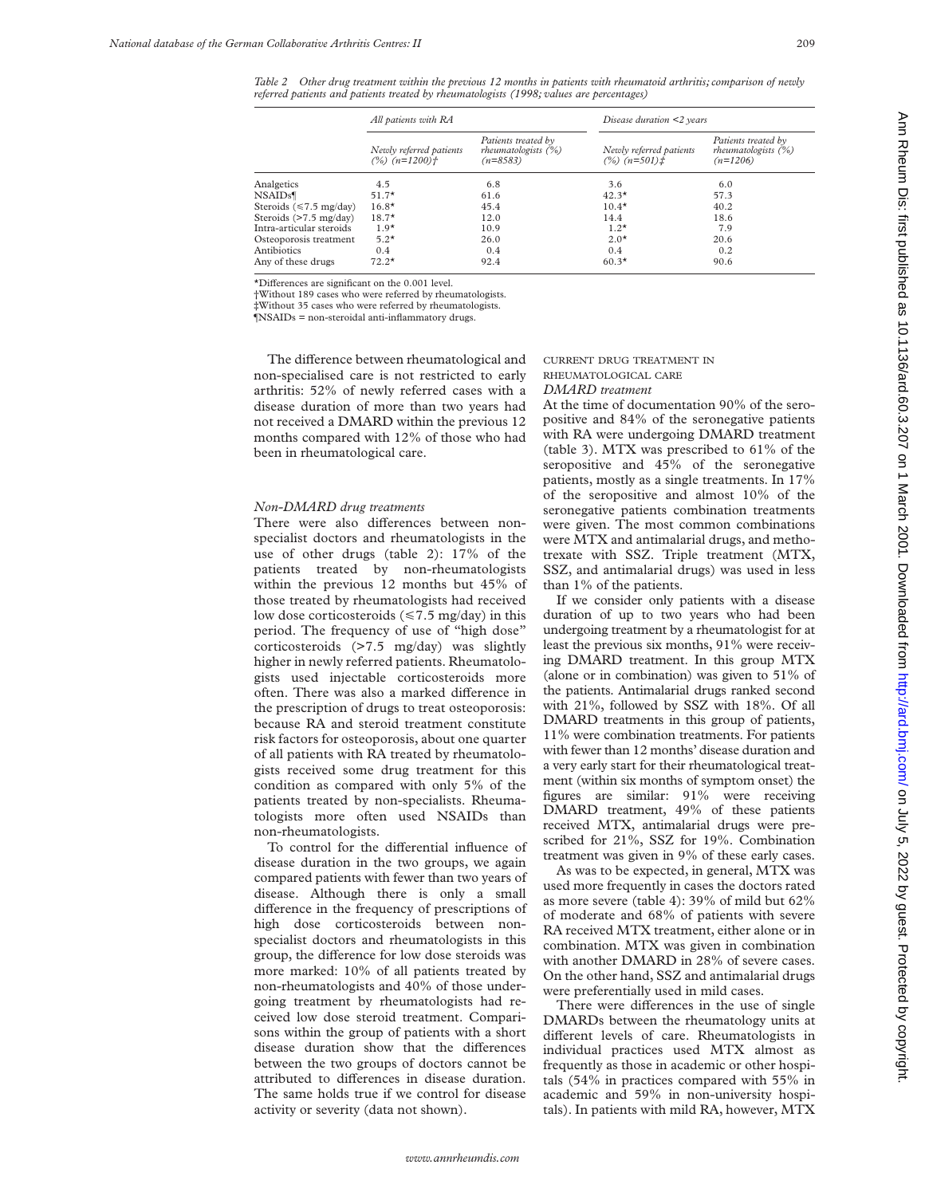*Table 2 Other drug treatment within the previous 12 months in patients with rheumatoid arthritis; comparison of newly referred patients and patients treated by rheumatologists (1998; values are percentages)*

|                               | All patients with RA                        |                                                             | Disease duration $\leq$ years                       |                                                             |
|-------------------------------|---------------------------------------------|-------------------------------------------------------------|-----------------------------------------------------|-------------------------------------------------------------|
|                               | Newly referred patients<br>$(%) (n=1200)$ † | Patients treated by<br>rheumatologists $(\%)$<br>$(n=8583)$ | Newly referred patients<br>$(%) (n=501)$ $\ddagger$ | Patients treated by<br>rheumatologists $(\%)$<br>$(n=1206)$ |
| Analgetics                    | 4.5                                         | 6.8                                                         | 3.6                                                 | 6.0                                                         |
| <b>NSAIDs</b>                 | $51.7*$                                     | 61.6                                                        | $42.3*$                                             | 57.3                                                        |
| Steroids ( $\leq 7.5$ mg/day) | $16.8*$                                     | 45.4                                                        | $10.4*$                                             | 40.2                                                        |
| Steroids (>7.5 mg/day)        | $18.7*$                                     | 12.0                                                        | 14.4                                                | 18.6                                                        |
| Intra-articular steroids      | $1.9*$                                      | 10.9                                                        | $1.2*$                                              | 7.9                                                         |
| Osteoporosis treatment        | $5.2*$                                      | 26.0                                                        | $2.0*$                                              | 20.6                                                        |
| Antibiotics                   | 0.4                                         | 0.4                                                         | 0.4                                                 | 0.2                                                         |
| Any of these drugs            | $72.2*$                                     | 92.4                                                        | $60.3*$                                             | 90.6                                                        |

 $*$ Differences are significant on the 0.001 level.

†Without 189 cases who were referred by rheumatologists.

‡Without 35 cases who were referred by rheumatologists.

¶NSAIDs = non-steroidal anti-inflammatory drugs.

The difference between rheumatological and non-specialised care is not restricted to early arthritis: 52% of newly referred cases with a disease duration of more than two years had not received a DMARD within the previous 12 months compared with 12% of those who had been in rheumatological care.

# *Non-DMARD drug treatments*

There were also differences between nonspecialist doctors and rheumatologists in the use of other drugs (table 2): 17% of the patients treated by non-rheumatologists within the previous 12 months but 45% of those treated by rheumatologists had received low dose corticosteroids ( $\leq 7.5$  mg/day) in this period. The frequency of use of "high dose" corticosteroids (>7.5 mg/day) was slightly higher in newly referred patients. Rheumatologists used injectable corticosteroids more often. There was also a marked difference in the prescription of drugs to treat osteoporosis: because RA and steroid treatment constitute risk factors for osteoporosis, about one quarter of all patients with RA treated by rheumatologists received some drug treatment for this condition as compared with only 5% of the patients treated by non-specialists. Rheumatologists more often used NSAIDs than non-rheumatologists.

To control for the differential influence of disease duration in the two groups, we again compared patients with fewer than two years of disease. Although there is only a small difference in the frequency of prescriptions of high dose corticosteroids between nonspecialist doctors and rheumatologists in this group, the difference for low dose steroids was more marked: 10% of all patients treated by non-rheumatologists and 40% of those undergoing treatment by rheumatologists had received low dose steroid treatment. Comparisons within the group of patients with a short disease duration show that the differences between the two groups of doctors cannot be attributed to differences in disease duration. The same holds true if we control for disease activity or severity (data not shown).

# CURRENT DRUG TREATMENT IN RHEUMATOLOGICAL CARE *DMARD treatment*

At the time of documentation 90% of the seropositive and 84% of the seronegative patients with RA were undergoing DMARD treatment (table 3). MTX was prescribed to 61% of the seropositive and 45% of the seronegative patients, mostly as a single treatments. In 17% of the seropositive and almost 10% of the seronegative patients combination treatments were given. The most common combinations were MTX and antimalarial drugs, and methotrexate with SSZ. Triple treatment (MTX, SSZ, and antimalarial drugs) was used in less than 1% of the patients.

If we consider only patients with a disease duration of up to two years who had been undergoing treatment by a rheumatologist for at least the previous six months, 91% were receiving DMARD treatment. In this group MTX (alone or in combination) was given to 51% of the patients. Antimalarial drugs ranked second with 21%, followed by SSZ with 18%. Of all DMARD treatments in this group of patients, 11% were combination treatments. For patients with fewer than 12 months' disease duration and a very early start for their rheumatological treatment (within six months of symptom onset) the figures are similar: 91% were receiving DMARD treatment, 49% of these patients received MTX, antimalarial drugs were prescribed for 21%, SSZ for 19%. Combination treatment was given in 9% of these early cases.

As was to be expected, in general, MTX was used more frequently in cases the doctors rated as more severe (table 4): 39% of mild but 62% of moderate and 68% of patients with severe RA received MTX treatment, either alone or in combination. MTX was given in combination with another DMARD in 28% of severe cases. On the other hand, SSZ and antimalarial drugs were preferentially used in mild cases.

There were differences in the use of single DMARDs between the rheumatology units at different levels of care. Rheumatologists in individual practices used MTX almost as frequently as those in academic or other hospitals (54% in practices compared with 55% in academic and 59% in non-university hospitals). In patients with mild RA, however, MTX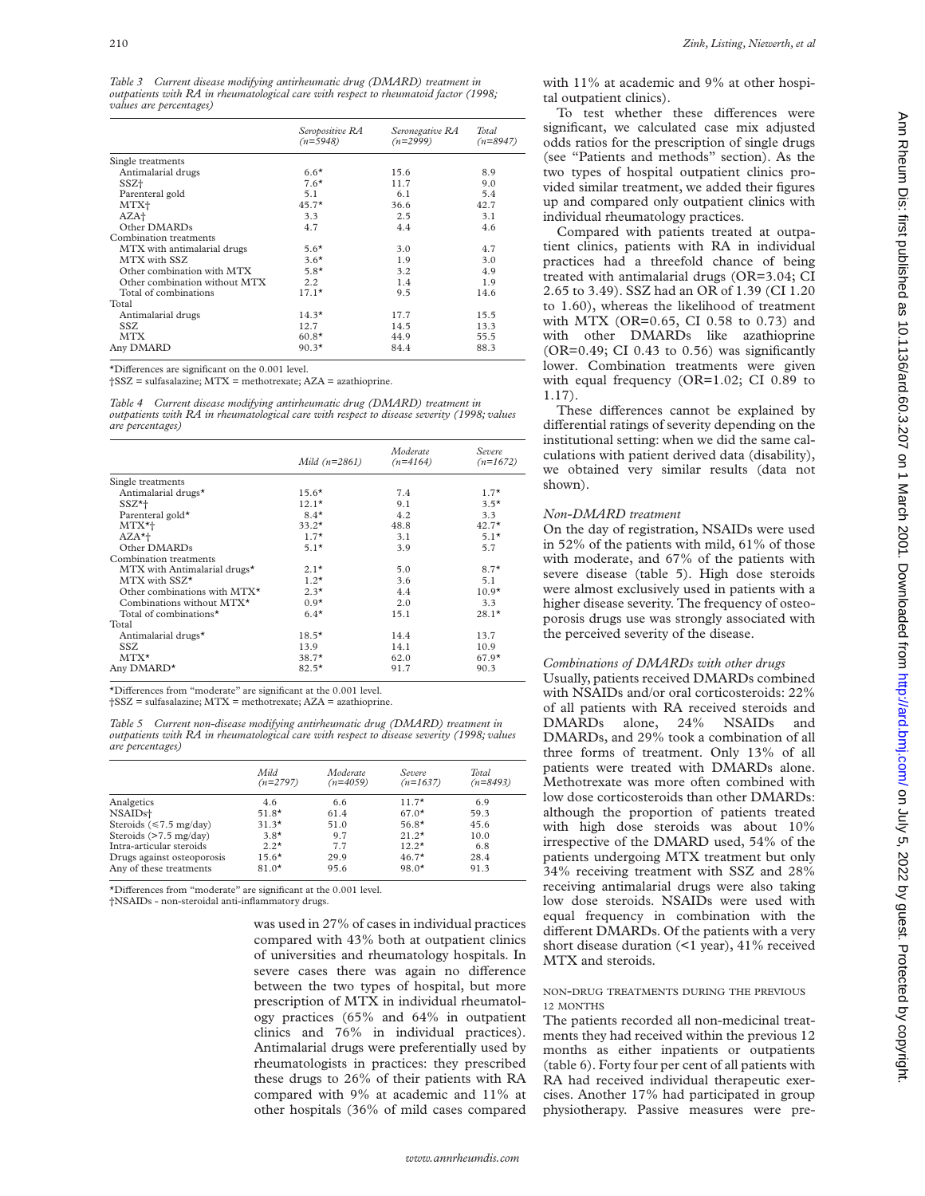*Table 3 Current disease modifying antirheumatic drug (DMARD) treatment in outpatients with RA in rheumatological care with respect to rheumatoid factor (1998; values are percentages)*

|                               | Seropositive RA<br>$(n=5948)$ | Seronegative RA<br>$(n=2999)$ | Total<br>$(n=8947)$ |
|-------------------------------|-------------------------------|-------------------------------|---------------------|
| Single treatments             |                               |                               |                     |
| Antimalarial drugs            | $6.6*$                        | 15.6                          | 8.9                 |
| SSZ+                          | $7.6*$                        | 11.7                          | 9.0                 |
| Parenteral gold               | 5.1                           | 6.1                           | 5.4                 |
| MTX+                          | $45.7*$                       | 36.6                          | 42.7                |
| AZA+                          | 3.3                           | 2.5                           | 3.1                 |
| Other DMARDs                  | 4.7                           | 4.4                           | 4.6                 |
| Combination treatments        |                               |                               |                     |
| MTX with antimalarial drugs   | $5.6*$                        | 3.0                           | 4.7                 |
| MTX with SSZ                  | $3.6*$                        | 1.9                           | 3.0                 |
| Other combination with MTX    | $5.8*$                        | 3.2                           | 4.9                 |
| Other combination without MTX | 2.2                           | 1.4                           | 1.9                 |
| Total of combinations         | $17.1*$                       | 9.5                           | 14.6                |
| Total                         |                               |                               |                     |
| Antimalarial drugs            | $14.3*$                       | 17.7                          | 15.5                |
| SSZ.                          | 12.7                          | 14.5                          | 13.3                |
| <b>MTX</b>                    | $60.8*$                       | 44.9                          | 55.5                |
| Any DMARD                     | $90.3*$                       | 84.4                          | 88.3                |

 $*$ Differences are significant on the 0.001 level.

†SSZ = sulfasalazine; MTX = methotrexate; AZA = azathioprine.

*Table 4 Current disease modifying antirheumatic drug (DMARD) treatment in outpatients with RA in rheumatological care with respect to disease severity (1998; values are percentages)*

|                                       | Mild $(n=2861)$ | Moderate<br>$(n=4164)$ | Severe<br>$(n=1672)$ |
|---------------------------------------|-----------------|------------------------|----------------------|
|                                       |                 |                        |                      |
| Single treatments                     |                 |                        |                      |
| Antimalarial drugs*                   | $15.6*$         | 7.4                    | $1.7*$               |
| $SSZ^*+$                              | $12.1*$         | 9.1                    | $3.5*$               |
| Parenteral gold*                      | $8.4*$          | 4.2                    | 3.3                  |
| $MTX^*$                               | $33.2*$         | 48.8                   | $42.7*$              |
| $AZA^{\star+}$                        | $1.7*$          | 3.1                    | $5.1*$               |
| Other DMARDs                          | $5.1*$          | 3.9                    | 5.7                  |
| Combination treatments                |                 |                        |                      |
| MTX with Antimalarial drugs*          | $2.1*$          | 5.0                    | $8.7*$               |
| MTX with SSZ*                         | $1.2*$          | 3.6                    | 5.1                  |
| Other combinations with $MTX^{\star}$ | $2.3*$          | 4.4                    | $10.9*$              |
| Combinations without MTX*             | $0.9*$          | 2.0                    | 3.3                  |
| Total of combinations*                | $6.4*$          | 15.1                   | $28.1*$              |
| Total                                 |                 |                        |                      |
| Antimalarial drugs*                   | $18.5*$         | 14.4                   | 13.7                 |
| SSZ.                                  | 13.9            | 14.1                   | 10.9                 |
| $MTX^*$                               | $38.7*$         | 62.0                   | $67.9*$              |
| Any DMARD <sup>*</sup>                | $82.5*$         | 91.7                   | 90.3                 |

\*Differences from "moderate" are significant at the 0.001 level.

†SSZ = sulfasalazine; MTX = methotrexate; AZA = azathioprine.

*Table 5 Current non-disease modifying antirheumatic drug (DMARD) treatment in outpatients with RA in rheumatological care with respect to disease severity (1998; values are percentages)*

|                                      | Mild<br>$(n=2797)$ | Moderate<br>$(n=4059)$ | Severe<br>$(n=1637)$ | Total<br>$(n=8493)$ |
|--------------------------------------|--------------------|------------------------|----------------------|---------------------|
| Analgetics                           | 4.6                | 6.6                    | $11.7*$              | 6.9                 |
| NSAIDs <sup>+</sup>                  | $51.8*$            | 61.4                   | $67.0*$              | 59.3                |
| Steroids $(\leq 7.5 \text{ mg/day})$ | $31.3*$            | 51.0                   | $56.8*$              | 45.6                |
| Steroids (>7.5 mg/day)               | $3.8*$             | 9.7                    | $21.2*$              | 10.0                |
| Intra-articular steroids             | $2.2*$             | 7.7                    | $12.2*$              | 6.8                 |
| Drugs against osteoporosis           | $15.6*$            | 29.9                   | $46.7*$              | 28.4                |
| Any of these treatments              | $81.0*$            | 95.6                   | $98.0*$              | 91.3                |

\*Differences from "moderate" are significant at the 0.001 level.

†NSAIDs - non-steroidal anti-inflammatory drugs.

was used in 27% of cases in individual practices compared with 43% both at outpatient clinics of universities and rheumatology hospitals. In severe cases there was again no difference between the two types of hospital, but more prescription of MTX in individual rheumatology practices (65% and 64% in outpatient clinics and 76% in individual practices). Antimalarial drugs were preferentially used by rheumatologists in practices: they prescribed these drugs to 26% of their patients with RA compared with 9% at academic and 11% at other hospitals (36% of mild cases compared

with 11% at academic and 9% at other hospital outpatient clinics).

To test whether these differences were significant, we calculated case mix adjusted odds ratios for the prescription of single drugs (see "Patients and methods" section). As the two types of hospital outpatient clinics provided similar treatment, we added their figures up and compared only outpatient clinics with individual rheumatology practices.

Compared with patients treated at outpatient clinics, patients with RA in individual practices had a threefold chance of being treated with antimalarial drugs (OR=3.04; CI 2.65 to 3.49). SSZ had an OR of 1.39 (CI 1.20 to 1.60), whereas the likelihood of treatment with MTX (OR=0.65, CI 0.58 to 0.73) and with other DMARDs like azathioprine  $(OR=0.49; CI 0.43$  to 0.56) was significantly lower. Combination treatments were given with equal frequency (OR=1.02; CI 0.89 to 1.17).

These differences cannot be explained by differential ratings of severity depending on the institutional setting: when we did the same calculations with patient derived data (disability), we obtained very similar results (data not shown).

#### *Non-DMARD treatment*

On the day of registration, NSAIDs were used in 52% of the patients with mild, 61% of those with moderate, and 67% of the patients with severe disease (table 5). High dose steroids were almost exclusively used in patients with a higher disease severity. The frequency of osteoporosis drugs use was strongly associated with the perceived severity of the disease.

#### *Combinations of DMARDs with other drugs*

Usually, patients received DMARDs combined with NSAIDs and/or oral corticosteroids: 22% of all patients with RA received steroids and DMARDs alone, 24% NSAIDs and DMARDs, and 29% took a combination of all three forms of treatment. Only 13% of all patients were treated with DMARDs alone. Methotrexate was more often combined with low dose corticosteroids than other DMARDs: although the proportion of patients treated with high dose steroids was about 10% irrespective of the DMARD used, 54% of the patients undergoing MTX treatment but only 34% receiving treatment with SSZ and 28% receiving antimalarial drugs were also taking low dose steroids. NSAIDs were used with equal frequency in combination with the different DMARDs. Of the patients with a very short disease duration (<1 year), 41% received MTX and steroids.

#### NON-DRUG TREATMENTS DURING THE PREVIOUS 12 MONTHS

The patients recorded all non-medicinal treatments they had received within the previous 12 months as either inpatients or outpatients (table 6). Forty four per cent of all patients with RA had received individual therapeutic exercises. Another 17% had participated in group physiotherapy. Passive measures were pre-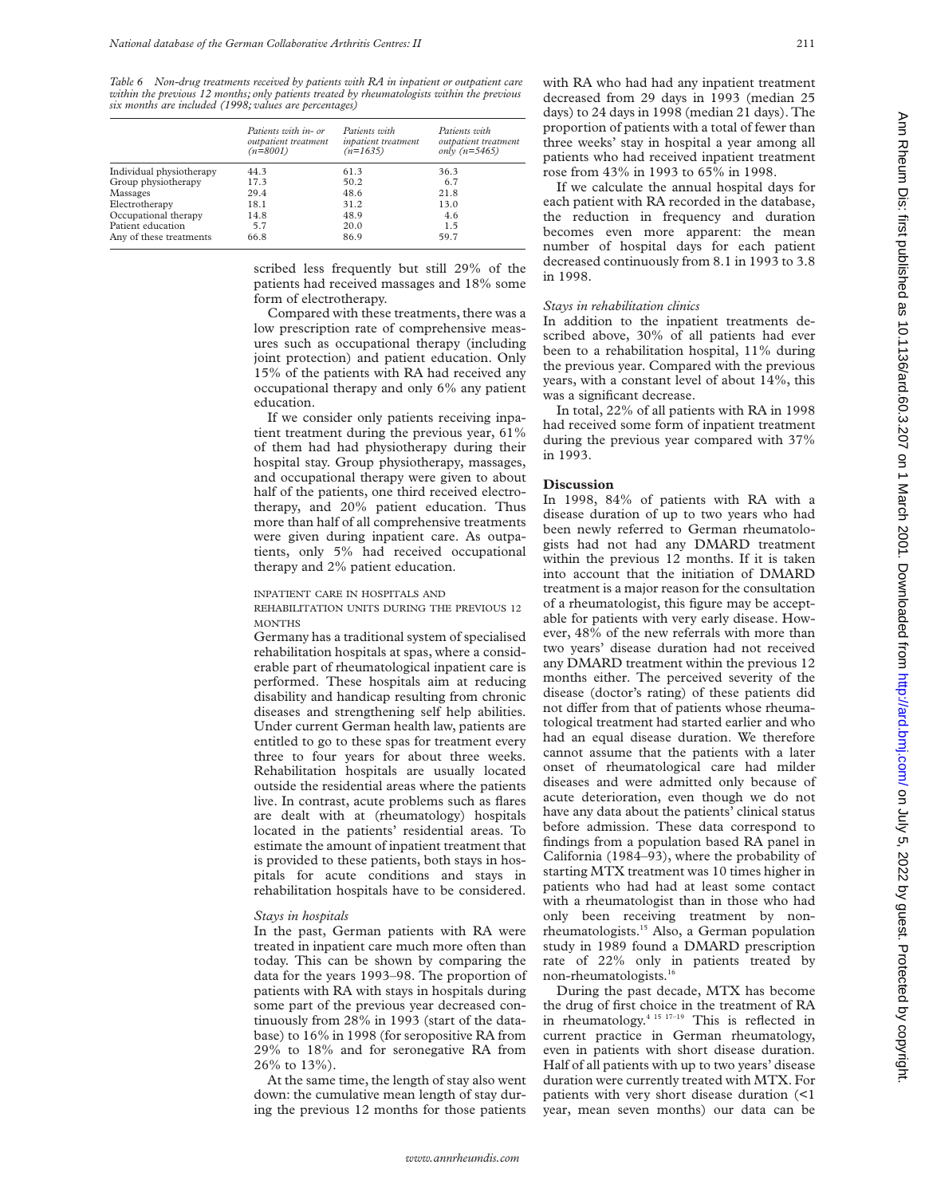*Table 6 Non-drug treatments received by patients with RA in inpatient or outpatient care within the previous 12 months; only patients treated by rheumatologists within the previous six months are included (1998; values are percentages)*

|                          | Patients with in- or<br>outpatient treatment<br>$(n=8001)$ | Patients with<br>inpatient treatment<br>$(n=1635)$ | Patients with<br>outpatient treatment<br>only $(n=5465)$ |
|--------------------------|------------------------------------------------------------|----------------------------------------------------|----------------------------------------------------------|
| Individual physiotherapy | 44.3                                                       | 61.3                                               | 36.3                                                     |
| Group physiotherapy      | 17.3                                                       | 50.2                                               | 6.7                                                      |
| Massages                 | 29.4                                                       | 48.6                                               | 21.8                                                     |
| Electrotherapy           | 18.1                                                       | 31.2                                               | 13.0                                                     |
| Occupational therapy     | 14.8                                                       | 48.9                                               | 4.6                                                      |
| Patient education        | 5.7                                                        | 20.0                                               | 1.5                                                      |
| Any of these treatments  | 66.8                                                       | 86.9                                               | 59.7                                                     |

scribed less frequently but still 29% of the patients had received massages and 18% some form of electrotherapy.

Compared with these treatments, there was a low prescription rate of comprehensive measures such as occupational therapy (including joint protection) and patient education. Only 15% of the patients with RA had received any occupational therapy and only 6% any patient education.

If we consider only patients receiving inpatient treatment during the previous year, 61% of them had had physiotherapy during their hospital stay. Group physiotherapy, massages, and occupational therapy were given to about half of the patients, one third received electrotherapy, and 20% patient education. Thus more than half of all comprehensive treatments were given during inpatient care. As outpatients, only 5% had received occupational therapy and 2% patient education.

#### INPATIENT CARE IN HOSPITALS AND

REHABILITATION UNITS DURING THE PREVIOUS 12 **MONTHS** 

Germany has a traditional system of specialised rehabilitation hospitals at spas, where a considerable part of rheumatological inpatient care is performed. These hospitals aim at reducing disability and handicap resulting from chronic diseases and strengthening self help abilities. Under current German health law, patients are entitled to go to these spas for treatment every three to four years for about three weeks. Rehabilitation hospitals are usually located outside the residential areas where the patients live. In contrast, acute problems such as flares are dealt with at (rheumatology) hospitals located in the patients' residential areas. To estimate the amount of inpatient treatment that is provided to these patients, both stays in hospitals for acute conditions and stays in rehabilitation hospitals have to be considered.

#### *Stays in hospitals*

In the past, German patients with RA were treated in inpatient care much more often than today. This can be shown by comparing the data for the years 1993–98. The proportion of patients with RA with stays in hospitals during some part of the previous year decreased continuously from 28% in 1993 (start of the database) to 16% in 1998 (for seropositive RA from 29% to 18% and for seronegative RA from 26% to 13%).

At the same time, the length of stay also went down: the cumulative mean length of stay during the previous 12 months for those patients with RA who had had any inpatient treatment decreased from 29 days in 1993 (median 25 days) to 24 days in 1998 (median 21 days). The proportion of patients with a total of fewer than three weeks' stay in hospital a year among all patients who had received inpatient treatment rose from 43% in 1993 to 65% in 1998.

If we calculate the annual hospital days for each patient with RA recorded in the database, the reduction in frequency and duration becomes even more apparent: the mean number of hospital days for each patient decreased continuously from 8.1 in 1993 to 3.8 in 1998.

### *Stays in rehabilitation clinics*

In addition to the inpatient treatments described above, 30% of all patients had ever been to a rehabilitation hospital, 11% during the previous year. Compared with the previous years, with a constant level of about 14%, this was a significant decrease.

In total, 22% of all patients with RA in 1998 had received some form of inpatient treatment during the previous year compared with 37% in 1993.

## **Discussion**

In 1998, 84% of patients with RA with a disease duration of up to two years who had been newly referred to German rheumatologists had not had any DMARD treatment within the previous 12 months. If it is taken into account that the initiation of DMARD treatment is a major reason for the consultation of a rheumatologist, this figure may be acceptable for patients with very early disease. However, 48% of the new referrals with more than two years' disease duration had not received any DMARD treatment within the previous 12 months either. The perceived severity of the disease (doctor's rating) of these patients did not differ from that of patients whose rheumatological treatment had started earlier and who had an equal disease duration. We therefore cannot assume that the patients with a later onset of rheumatological care had milder diseases and were admitted only because of acute deterioration, even though we do not have any data about the patients' clinical status before admission. These data correspond to findings from a population based RA panel in California (1984–93), where the probability of starting MTX treatment was 10 times higher in patients who had had at least some contact with a rheumatologist than in those who had only been receiving treatment by nonrheumatologists.15 Also, a German population study in 1989 found a DMARD prescription rate of 22% only in patients treated by non-rheumatologists.16

During the past decade, MTX has become the drug of first choice in the treatment of RA in rheumatology.4 15 17–19 This is reflected in current practice in German rheumatology, even in patients with short disease duration. Half of all patients with up to two years' disease duration were currently treated with MTX. For patients with very short disease duration (<1 year, mean seven months) our data can be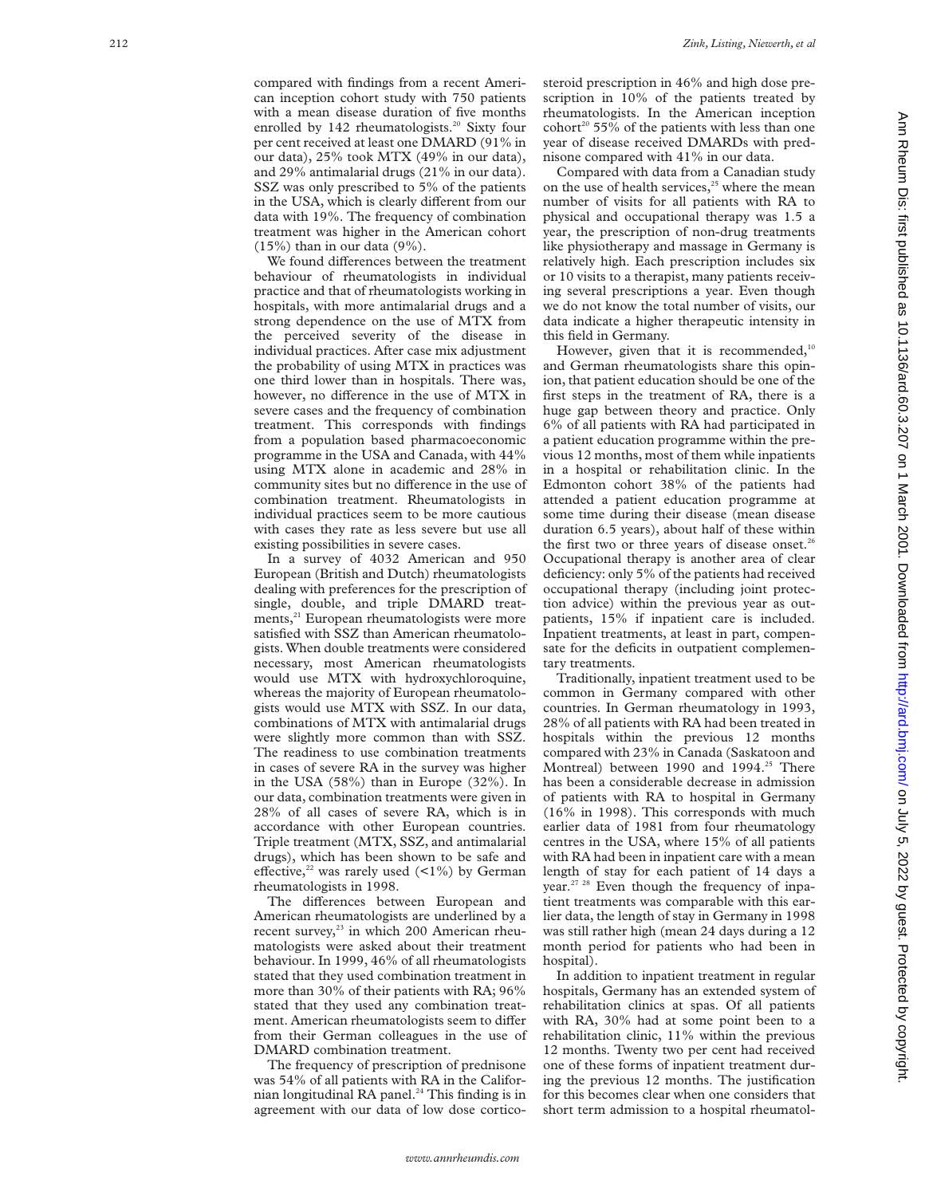compared with findings from a recent American inception cohort study with 750 patients with a mean disease duration of five months enrolled by 142 rheumatologists.<sup>20</sup> Sixty four per cent received at least one DMARD (91% in our data), 25% took MTX (49% in our data), and 29% antimalarial drugs (21% in our data). SSZ was only prescribed to 5% of the patients in the USA, which is clearly different from our data with 19%. The frequency of combination treatment was higher in the American cohort  $(15%)$  than in our data  $(9%)$ .

We found differences between the treatment behaviour of rheumatologists in individual practice and that of rheumatologists working in hospitals, with more antimalarial drugs and a strong dependence on the use of MTX from the perceived severity of the disease in individual practices. After case mix adjustment the probability of using MTX in practices was one third lower than in hospitals. There was, however, no difference in the use of MTX in severe cases and the frequency of combination treatment. This corresponds with findings from a population based pharmacoeconomic programme in the USA and Canada, with 44% using MTX alone in academic and 28% in community sites but no difference in the use of combination treatment. Rheumatologists in individual practices seem to be more cautious with cases they rate as less severe but use all existing possibilities in severe cases.

In a survey of 4032 American and 950 European (British and Dutch) rheumatologists dealing with preferences for the prescription of single, double, and triple DMARD treatments,<sup>21</sup> European rheumatologists were more satisfied with SSZ than American rheumatologists. When double treatments were considered necessary, most American rheumatologists would use MTX with hydroxychloroquine, whereas the majority of European rheumatologists would use MTX with SSZ. In our data, combinations of MTX with antimalarial drugs were slightly more common than with SSZ. The readiness to use combination treatments in cases of severe RA in the survey was higher in the USA (58%) than in Europe (32%). In our data, combination treatments were given in 28% of all cases of severe RA, which is in accordance with other European countries. Triple treatment (MTX, SSZ, and antimalarial drugs), which has been shown to be safe and effective,<sup>22</sup> was rarely used  $($ 1%) by German rheumatologists in 1998.

The differences between European and American rheumatologists are underlined by a recent survey,<sup>23</sup> in which 200 American rheumatologists were asked about their treatment behaviour. In 1999, 46% of all rheumatologists stated that they used combination treatment in more than 30% of their patients with RA; 96% stated that they used any combination treatment. American rheumatologists seem to differ from their German colleagues in the use of DMARD combination treatment.

The frequency of prescription of prednisone was 54% of all patients with RA in the Californian longitudinal RA panel.<sup>24</sup> This finding is in agreement with our data of low dose corticosteroid prescription in 46% and high dose prescription in 10% of the patients treated by rheumatologists. In the American inception cohort<sup>20</sup> 55% of the patients with less than one year of disease received DMARDs with prednisone compared with 41% in our data.

Compared with data from a Canadian study on the use of health services, $25$  where the mean number of visits for all patients with RA to physical and occupational therapy was 1.5 a year, the prescription of non-drug treatments like physiotherapy and massage in Germany is relatively high. Each prescription includes six or 10 visits to a therapist, many patients receiving several prescriptions a year. Even though we do not know the total number of visits, our data indicate a higher therapeutic intensity in this field in Germany.

However, given that it is recommended, $10$ and German rheumatologists share this opinion, that patient education should be one of the first steps in the treatment of RA, there is a huge gap between theory and practice. Only 6% of all patients with RA had participated in a patient education programme within the previous 12 months, most of them while inpatients in a hospital or rehabilitation clinic. In the Edmonton cohort 38% of the patients had attended a patient education programme at some time during their disease (mean disease duration 6.5 years), about half of these within the first two or three years of disease onset.<sup>26</sup> Occupational therapy is another area of clear deficiency: only 5% of the patients had received occupational therapy (including joint protection advice) within the previous year as outpatients, 15% if inpatient care is included. Inpatient treatments, at least in part, compensate for the deficits in outpatient complementary treatments.

Traditionally, inpatient treatment used to be common in Germany compared with other countries. In German rheumatology in 1993, 28% of all patients with RA had been treated in hospitals within the previous 12 months compared with 23% in Canada (Saskatoon and Montreal) between 1990 and 1994.<sup>25</sup> There has been a considerable decrease in admission of patients with RA to hospital in Germany (16% in 1998). This corresponds with much earlier data of 1981 from four rheumatology centres in the USA, where 15% of all patients with RA had been in inpatient care with a mean length of stay for each patient of 14 days a year.<sup>27</sup> <sup>28</sup> Even though the frequency of inpatient treatments was comparable with this earlier data, the length of stay in Germany in 1998 was still rather high (mean 24 days during a 12 month period for patients who had been in hospital).

In addition to inpatient treatment in regular hospitals, Germany has an extended system of rehabilitation clinics at spas. Of all patients with RA, 30% had at some point been to a rehabilitation clinic, 11% within the previous 12 months. Twenty two per cent had received one of these forms of inpatient treatment during the previous 12 months. The justification for this becomes clear when one considers that short term admission to a hospital rheumatol